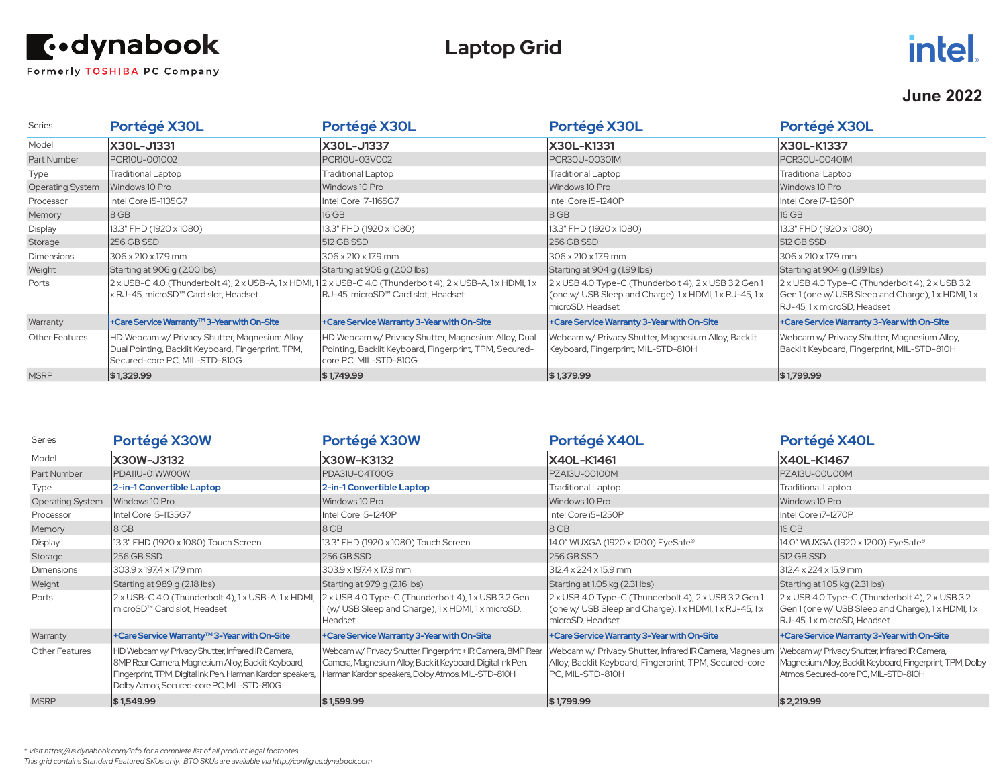

## **Laptop Grid**



#### **June 2022**

| <b>Series</b>           | Portégé X30L                                                                                                                          | Portégé X30L                                                                                                                                               | Portégé X30L                                                                                                                      | Portégé X30L                                                                                                                         |
|-------------------------|---------------------------------------------------------------------------------------------------------------------------------------|------------------------------------------------------------------------------------------------------------------------------------------------------------|-----------------------------------------------------------------------------------------------------------------------------------|--------------------------------------------------------------------------------------------------------------------------------------|
| Model                   | X30L-J1331                                                                                                                            | X30L-J1337                                                                                                                                                 | <b>X30L-K1331</b>                                                                                                                 | X30L-K1337                                                                                                                           |
| Part Number             | PCR10U-001002                                                                                                                         | PCR10U-03V002                                                                                                                                              | PCR30U-00301M                                                                                                                     | PCR30U-00401M                                                                                                                        |
| Type                    | <b>Traditional Laptop</b>                                                                                                             | Traditional Laptop                                                                                                                                         | <b>Traditional Laptop</b>                                                                                                         | <b>Traditional Laptop</b>                                                                                                            |
| <b>Operating System</b> | Windows 10 Pro                                                                                                                        | Windows 10 Pro                                                                                                                                             | Windows 10 Pro                                                                                                                    | Windows 10 Pro                                                                                                                       |
| Processor               | Intel Core i5-1135G7                                                                                                                  | Intel Core i7-1165G7                                                                                                                                       | Intel Core i5-1240P                                                                                                               | Intel Core i7-1260P                                                                                                                  |
| Memory                  | 18 GB                                                                                                                                 | 16 GB                                                                                                                                                      | $ 8$ GB                                                                                                                           | 16 GB                                                                                                                                |
| Display                 | 13.3" FHD (1920 x 1080)                                                                                                               | 13.3" FHD (1920 x 1080)                                                                                                                                    | [13.3" FHD (1920 x 1080)                                                                                                          | 13.3" FHD (1920 x 1080)                                                                                                              |
| Storage                 | 256 GB SSD                                                                                                                            | 512 GB SSD                                                                                                                                                 | 256 GB SSD                                                                                                                        | 512 GB SSD                                                                                                                           |
| <b>Dimensions</b>       | 306 x 210 x 17.9 mm                                                                                                                   | 306 x 210 x 17.9 mm                                                                                                                                        | 306 x 210 x 17.9 mm                                                                                                               | 306 x 210 x 17.9 mm                                                                                                                  |
| Weight                  | Starting at 906 g (2.00 lbs)                                                                                                          | Starting at 906 g (2.00 lbs)                                                                                                                               | Starting at 904 g (1.99 lbs)                                                                                                      | Starting at 904 g (1.99 lbs)                                                                                                         |
| Ports                   | x RJ-45, microSD™ Card slot, Headset                                                                                                  | $2 \times$ USB-C 4.0 (Thunderbolt 4), 2 x USB-A, 1 x HDMI, 1 2 x USB-C 4.0 (Thunderbolt 4), 2 x USB-A, 1 x HDMI, 1 x<br>RJ-45, microSD™ Card slot, Headset | 2 x USB 4.0 Type-C (Thunderbolt 4), 2 x USB 3.2 Gen 1<br>(one w/ USB Sleep and Charge), 1x HDMI, 1x RJ-45, 1x<br>microSD, Headset | 2 x USB 4.0 Type-C (Thunderbolt 4), 2 x USB 3.2<br>Gen 1 (one w/ USB Sleep and Charge), 1 x HDMI, 1 x<br>RJ-45, 1 x microSD, Headset |
| Warranty                | +Care Service Warranty™3-Year with On-Site                                                                                            | +Care Service Warranty 3-Year with On-Site                                                                                                                 | +Care Service Warranty 3-Year with On-Site                                                                                        | +Care Service Warranty 3-Year with On-Site                                                                                           |
| <b>Other Features</b>   | HD Webcam w/ Privacy Shutter, Magnesium Alloy,<br>Dual Pointing, Backlit Keyboard, Fingerprint, TPM,<br>Secured-core PC, MIL-STD-810G | HD Webcam w/ Privacy Shutter, Magnesium Alloy, Dual<br>Pointing, Backlit Keyboard, Fingerprint, TPM, Secured-<br>core PC, MIL-STD-810G                     | Webcam w/ Privacy Shutter, Magnesium Alloy, Backlit<br>Keyboard, Fingerprint, MIL-STD-810H                                        | Webcam w/ Privacy Shutter, Magnesium Alloy,<br>Backlit Keyboard, Fingerprint, MIL-STD-810H                                           |
| <b>MSRP</b>             | \$1,329.99                                                                                                                            | \$1,749.99                                                                                                                                                 | \$1,379.99                                                                                                                        | \$1,799.99                                                                                                                           |

| Series                  | Portégé X30W                                                                                                                                                                                                        | Portégé X30W                                                                                                                                                                     | Portégé X40L                                                                                                                            | Portégé X40L                                                                                                                                         |
|-------------------------|---------------------------------------------------------------------------------------------------------------------------------------------------------------------------------------------------------------------|----------------------------------------------------------------------------------------------------------------------------------------------------------------------------------|-----------------------------------------------------------------------------------------------------------------------------------------|------------------------------------------------------------------------------------------------------------------------------------------------------|
| Model                   | X30W-J3132                                                                                                                                                                                                          | X30W-K3132                                                                                                                                                                       | X40L-K1461                                                                                                                              | X40L-K1467                                                                                                                                           |
| Part Number             | PDA11U-01WW00W                                                                                                                                                                                                      | PDA31U-04T00G                                                                                                                                                                    | PZA13U-00100M                                                                                                                           | PZA13U-00U00M                                                                                                                                        |
| Type                    | 2-in-1 Convertible Laptop                                                                                                                                                                                           | 2-in-1 Convertible Laptop                                                                                                                                                        | <b>Traditional Laptop</b>                                                                                                               | <b>Traditional Laptop</b>                                                                                                                            |
| <b>Operating System</b> | Windows 10 Pro                                                                                                                                                                                                      | Windows 10 Pro                                                                                                                                                                   | Windows 10 Pro                                                                                                                          | Windows 10 Pro                                                                                                                                       |
| Processor               | Intel Core i5-1135G7                                                                                                                                                                                                | Intel Core i5-1240P                                                                                                                                                              | Intel Core i5-1250P                                                                                                                     | Intel Core i7-1270P                                                                                                                                  |
| Memory                  | 18 GB                                                                                                                                                                                                               | 8 GB                                                                                                                                                                             | $ 8$ GB                                                                                                                                 | 16 GB                                                                                                                                                |
| Display                 | 13.3" FHD (1920 x 1080) Touch Screen                                                                                                                                                                                | 13.3" FHD (1920 x 1080) Touch Screen                                                                                                                                             | 14.0" WUXGA (1920 x 1200) EyeSafe®                                                                                                      | 14.0" WUXGA (1920 x 1200) EyeSafe®                                                                                                                   |
| Storage                 | 256 GB SSD                                                                                                                                                                                                          | 256 GB SSD                                                                                                                                                                       | 256 GB SSD                                                                                                                              | 512 GB SSD                                                                                                                                           |
| <b>Dimensions</b>       | 303.9 x 197.4 x 17.9 mm                                                                                                                                                                                             | 303.9 x 197.4 x 17.9 mm                                                                                                                                                          | $312.4 \times 224 \times 15.9$ mm                                                                                                       | $312.4 \times 224 \times 15.9$ mm                                                                                                                    |
| Weight                  | Starting at 989 g (2.18 lbs)                                                                                                                                                                                        | Starting at 979 g (2.16 lbs)                                                                                                                                                     | Starting at 1.05 kg (2.31 lbs)                                                                                                          | Starting at 1.05 kg (2.31 lbs)                                                                                                                       |
| Ports                   | 2 x USB-C 4.0 (Thunderbolt 4), 1 x USB-A, 1 x HDMI,<br>microSD™ Card slot, Headset                                                                                                                                  | 2 x USB 4.0 Type-C (Thunderbolt 4), 1 x USB 3.2 Gen<br>1 (w/ USB Sleep and Charge), 1 x HDMI, 1 x microSD,<br>Headset                                                            | 2 x USB 4.0 Type-C (Thunderbolt 4), 2 x USB 3.2 Gen 1<br>(one w/ USB Sleep and Charge), 1x HDMI, 1x RJ-45, 1x<br>microSD, Headset       | 2 x USB 4.0 Type-C (Thunderbolt 4), 2 x USB 3.2<br>Gen 1 (one w/ USB Sleep and Charge), 1 x HDMI, 1 x<br>RJ-45, 1 x microSD, Headset                 |
| Warranty                | +Care Service Warranty™3-Year with On-Site                                                                                                                                                                          | +Care Service Warranty 3-Year with On-Site                                                                                                                                       | +Care Service Warranty 3-Year with On-Site                                                                                              | +Care Service Warranty 3-Year with On-Site                                                                                                           |
| Other Features          | HD Webcam w/ Privacy Shutter, Infrared IR Camera,<br>8MP Rear Camera, Magnesium Alloy, Backlit Keyboard,<br>Fingerprint, TPM, Digital Ink Pen. Harman Kardon speakers<br>Dolby Atmos, Secured-core PC, MIL-STD-810G | Webcam w/ Privacy Shutter, Fingerprint + IR Camera, 8MP Rear<br>Camera, Magnesium Alloy, Backlit Keyboard, Digital Ink Pen.<br>Harman Kardon speakers, Dolby Atmos, MIL-STD-810H | Webcam w/ Privacy Shutter, Infrared IR Camera, Magnesium<br>Alloy, Backlit Keyboard, Fingerprint, TPM, Secured-core<br>PC, MIL-STD-810H | Webcam w/ Privacy Shutter, Infrared IR Camera,<br>Magnesium Alloy, Backlit Keyboard, Fingerprint, TPM, Dolby<br>Atmos, Secured-core PC, MIL-STD-810H |
| <b>MSRP</b>             | \$1,549.99                                                                                                                                                                                                          | \$1,599.99                                                                                                                                                                       | \$1,799.99                                                                                                                              | \$2,219.99                                                                                                                                           |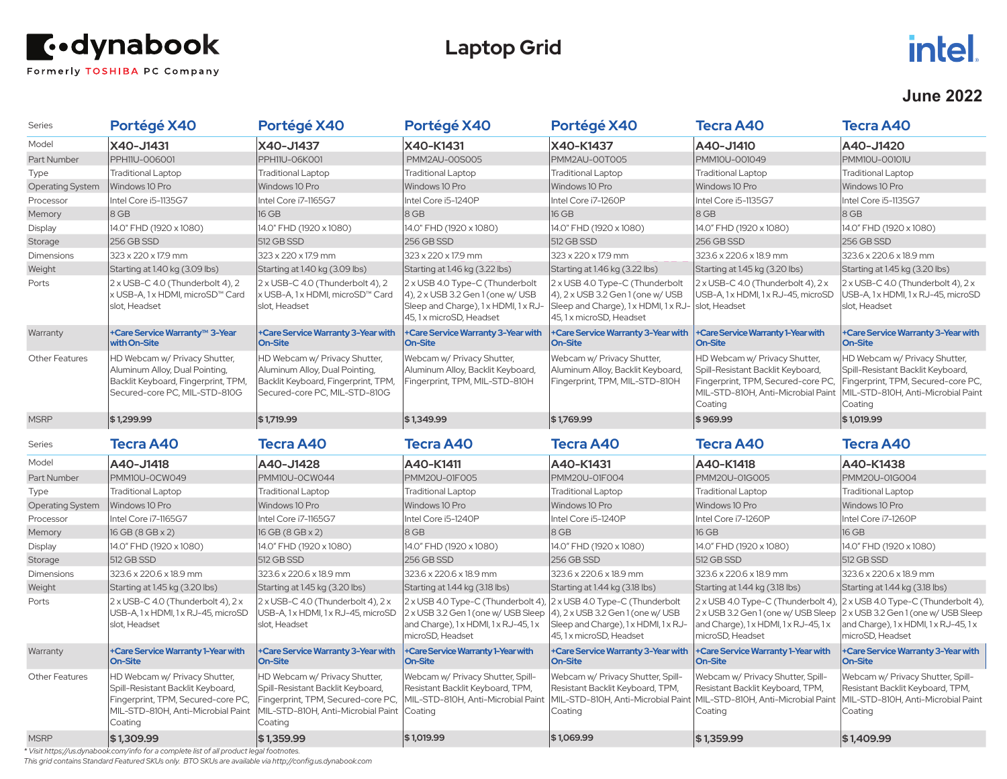

## **Laptop Grid**

# **intel.**

#### **June 2022**

| <b>Series</b>    | Portégé X40                                                                                                                                               | Portégé X40                                                                                                                                               | Portégé X40                                                                                                                            | Portégé X40                                                                                                                            | <b>Tecra A40</b>                                                                                                                                          | <b>Tecra A40</b>                                                                                                                                                                                               |
|------------------|-----------------------------------------------------------------------------------------------------------------------------------------------------------|-----------------------------------------------------------------------------------------------------------------------------------------------------------|----------------------------------------------------------------------------------------------------------------------------------------|----------------------------------------------------------------------------------------------------------------------------------------|-----------------------------------------------------------------------------------------------------------------------------------------------------------|----------------------------------------------------------------------------------------------------------------------------------------------------------------------------------------------------------------|
| Model            | X40-J1431                                                                                                                                                 | X40-J1437                                                                                                                                                 | X40-K1431                                                                                                                              | X40-K1437                                                                                                                              | A40-J1410                                                                                                                                                 | A40-J1420                                                                                                                                                                                                      |
| Part Number      | PPH11U-006001                                                                                                                                             | <b>PPH11U-06K001</b>                                                                                                                                      | PMM2AU-00S005                                                                                                                          | PMM2AU-00T005                                                                                                                          | PMM10U-001049                                                                                                                                             | <b>PMM10U-00101U</b>                                                                                                                                                                                           |
| Type             | <b>Traditional Laptop</b>                                                                                                                                 | <b>Traditional Laptop</b>                                                                                                                                 | <b>Traditional Laptop</b>                                                                                                              | <b>Traditional Laptop</b>                                                                                                              | <b>Traditional Laptop</b>                                                                                                                                 | <b>Traditional Laptop</b>                                                                                                                                                                                      |
| Operating System | Windows 10 Pro                                                                                                                                            | Windows 10 Pro                                                                                                                                            | Windows 10 Pro                                                                                                                         | Windows 10 Pro                                                                                                                         | Windows 10 Pro                                                                                                                                            | Windows 10 Pro                                                                                                                                                                                                 |
| Processor        | Intel Core i5-1135G7                                                                                                                                      | Intel Core i7-1165G7                                                                                                                                      | Intel Core i5-1240P                                                                                                                    | Intel Core i7-1260P                                                                                                                    | Intel Core i5-1135G7                                                                                                                                      | Intel Core i5-1135G7                                                                                                                                                                                           |
| Memory           | 8 GB                                                                                                                                                      | 16 GB                                                                                                                                                     | 8 GB                                                                                                                                   | 16 GB                                                                                                                                  | 8 GB                                                                                                                                                      | $8$ GB                                                                                                                                                                                                         |
| Display          | 14.0" FHD (1920 x 1080)                                                                                                                                   | 14.0" FHD (1920 x 1080)                                                                                                                                   | 14.0" FHD (1920 x 1080)                                                                                                                | 14.0" FHD (1920 x 1080)                                                                                                                | 14.0" FHD (1920 x 1080)                                                                                                                                   | 14.0" FHD (1920 x 1080)                                                                                                                                                                                        |
| Storage          | 256 GB SSD                                                                                                                                                | 512 GB SSD                                                                                                                                                | 256 GB SSD                                                                                                                             | 512 GB SSD                                                                                                                             | 256 GB SSD                                                                                                                                                | 256 GB SSD                                                                                                                                                                                                     |
| Dimensions       | 323 x 220 x 17.9 mm                                                                                                                                       | 323 x 220 x 17.9 mm                                                                                                                                       | 323 x 220 x 17.9 mm                                                                                                                    | 323 x 220 x 17.9 mm                                                                                                                    | 323.6 x 220.6 x 18.9 mm                                                                                                                                   | 323.6 x 220.6 x 18.9 mm                                                                                                                                                                                        |
| Weight           | Starting at 1.40 kg (3.09 lbs)                                                                                                                            | Starting at 1.40 kg (3.09 lbs)                                                                                                                            | Starting at 1.46 kg (3.22 lbs)                                                                                                         | Starting at 1.46 kg (3.22 lbs)                                                                                                         | Starting at 1.45 kg (3.20 lbs)                                                                                                                            | Starting at 1.45 kg (3.20 lbs)                                                                                                                                                                                 |
| Ports            | 2 x USB-C 4.0 (Thunderbolt 4), 2<br>x USB-A, 1 x HDMI, microSD™ Card<br>slot, Headset                                                                     | 2 x USB-C 4.0 (Thunderbolt 4), 2<br>x USB-A, 1 x HDMI, microSD™ Card<br>slot, Headset                                                                     | 2 x USB 4.0 Type-C (Thunderbolt<br>4), 2 x USB 3.2 Gen 1 (one w/ USB<br>Sleep and Charge), 1x HDMI, 1x RJ-<br>45, 1 x microSD, Headset | 2 x USB 4.0 Type-C (Thunderbolt<br>4), 2 x USB 3.2 Gen 1 (one w/ USB<br>Sleep and Charge), 1x HDMI, 1x RJ-<br>45, 1 x microSD, Headset | 2 x USB-C 4.0 (Thunderbolt 4), 2 x<br>USB-A, 1x HDMI, 1x RJ-45, microSD<br>slot, Headset                                                                  | $2x$ USB-C 4.0 (Thunderbolt 4), $2x$<br>USB-A, 1 x HDMI, 1 x RJ-45, microSD<br>slot, Headset                                                                                                                   |
| Warranty         | +Care Service Warranty™ 3-Year<br>with On-Site                                                                                                            | +Care Service Warranty 3-Year with<br><b>On-Site</b>                                                                                                      | +Care Service Warranty 3-Year with<br><b>On-Site</b>                                                                                   | +Care Service Warranty 3-Year with<br><b>On-Site</b>                                                                                   | +Care Service Warranty 1-Year with<br><b>On-Site</b>                                                                                                      | +Care Service Warranty 3-Year with<br><b>On-Site</b>                                                                                                                                                           |
| Other Features   | HD Webcam w/ Privacy Shutter,<br>Aluminum Alloy, Dual Pointing,<br>Backlit Keyboard, Fingerprint, TPM,<br>Secured-core PC, MIL-STD-810G                   | HD Webcam w/ Privacy Shutter,<br>Aluminum Alloy, Dual Pointing,<br>Backlit Keyboard, Fingerprint, TPM,<br>Secured-core PC, MIL-STD-810G                   | Webcam w/ Privacy Shutter,<br>Aluminum Alloy, Backlit Keyboard,<br>Fingerprint, TPM, MIL-STD-810H                                      | Webcam w/ Privacy Shutter,<br>Aluminum Alloy, Backlit Keyboard,<br>Fingerprint, TPM, MIL-STD-810H                                      | HD Webcam w/ Privacy Shutter,<br>Spill-Resistant Backlit Keyboard,<br>Fingerprint, TPM, Secured-core PC,<br>MIL-STD-810H, Anti-Microbial Paint<br>Coating | HD Webcam w/ Privacy Shutter,<br>Spill-Resistant Backlit Keyboard,<br>Fingerprint, TPM, Secured-core PC,<br>MIL-STD-810H, Anti-Microbial Paint<br>Coating                                                      |
| <b>MSRP</b>      | \$1,299.99                                                                                                                                                | \$1,719.99                                                                                                                                                | \$1,349.99                                                                                                                             | \$1,769.99                                                                                                                             | \$969.99                                                                                                                                                  | \$1,019.99                                                                                                                                                                                                     |
|                  |                                                                                                                                                           |                                                                                                                                                           |                                                                                                                                        |                                                                                                                                        |                                                                                                                                                           |                                                                                                                                                                                                                |
| <b>Series</b>    | <b>Tecra A40</b>                                                                                                                                          | <b>Tecra A40</b>                                                                                                                                          | <b>Tecra A40</b>                                                                                                                       | <b>Tecra A40</b>                                                                                                                       | Tecra A40                                                                                                                                                 | <b>Tecra A40</b>                                                                                                                                                                                               |
| Model            | A40-J1418                                                                                                                                                 | A40-J1428                                                                                                                                                 | A40-K1411                                                                                                                              | A40-K1431                                                                                                                              | A40-K1418                                                                                                                                                 | A40-K1438                                                                                                                                                                                                      |
| Part Number      | PMM10U-OCW049                                                                                                                                             | PMM10U-OCW044                                                                                                                                             | PMM20U-01F005                                                                                                                          | PMM20U-01F004                                                                                                                          | PMM20U-01G005                                                                                                                                             | PMM20U-01G004                                                                                                                                                                                                  |
| Type             | <b>Traditional Laptop</b>                                                                                                                                 | <b>Traditional Laptop</b>                                                                                                                                 | <b>Traditional Laptop</b>                                                                                                              | <b>Traditional Laptop</b>                                                                                                              | <b>Traditional Laptop</b>                                                                                                                                 | <b>Traditional Laptop</b>                                                                                                                                                                                      |
| Operating System | Windows 10 Pro                                                                                                                                            | Windows 10 Pro                                                                                                                                            | Windows 10 Pro                                                                                                                         | Windows 10 Pro                                                                                                                         | Windows 10 Pro                                                                                                                                            | Windows 10 Pro                                                                                                                                                                                                 |
| Processor        | Intel Core i7-1165G7                                                                                                                                      | Intel Core i7-1165G7                                                                                                                                      | Intel Core i5-1240P                                                                                                                    | Intel Core i5-1240P                                                                                                                    | Intel Core i7-1260P                                                                                                                                       | Intel Core i7-1260P                                                                                                                                                                                            |
| Memory           | 16 GB (8 GB x 2)                                                                                                                                          | 16 GB (8 GB x 2)                                                                                                                                          | 8 GB                                                                                                                                   | $ 8$ GB                                                                                                                                | 16 GB                                                                                                                                                     | 16 GB                                                                                                                                                                                                          |
| Display          | 14.0" FHD (1920 x 1080)                                                                                                                                   | 14.0" FHD (1920 x 1080)                                                                                                                                   | 14.0" FHD (1920 x 1080)                                                                                                                | 14.0" FHD (1920 x 1080)                                                                                                                | 14.0" FHD (1920 x 1080)                                                                                                                                   | 14.0" FHD (1920 x 1080)                                                                                                                                                                                        |
| Storage          | 512 GB SSD                                                                                                                                                | 512 GB SSD                                                                                                                                                | 256 GB SSD                                                                                                                             | 256 GB SSD                                                                                                                             | 512 GB SSD                                                                                                                                                | 512 GB SSD                                                                                                                                                                                                     |
| Dimensions       | 323.6 x 220.6 x 18.9 mm                                                                                                                                   | 323.6 x 220.6 x 18.9 mm                                                                                                                                   | 323.6 x 220.6 x 18.9 mm                                                                                                                | 323.6 x 220.6 x 18.9 mm                                                                                                                | 323.6 x 220.6 x 18.9 mm                                                                                                                                   | 323.6 x 220.6 x 18.9 mm                                                                                                                                                                                        |
| Weight           | Starting at 1.45 kg (3.20 lbs)                                                                                                                            | Starting at 1.45 kg (3.20 lbs)                                                                                                                            | Starting at 1.44 kg (3.18 lbs)                                                                                                         | Starting at 1.44 kg (3.18 lbs)                                                                                                         | Starting at 1.44 kg (3.18 lbs)                                                                                                                            | Starting at 1.44 kg (3.18 lbs)                                                                                                                                                                                 |
| Ports            | $2 \times$ USB-C 4.0 (Thunderbolt 4), $2 \times$<br>USB-A, 1x HDMI, 1x RJ-45, microSD<br>slot, Headset                                                    | $2 \times$ USB-C 4.0 (Thunderbolt 4), $2 \times$<br>USB-A, 1x HDMI, 1x RJ-45, microSD<br>slot, Headset                                                    | 2 x USB 4.0 Type-C (Thunderbolt 4),<br>2 x USB 3.2 Gen 1 (one w/ USB Sleep<br>and Charge), 1x HDMI, 1x RJ-45, 1x<br>microSD, Headset   | 2 x USB 4.0 Type-C (Thunderbolt<br>4), 2 x USB 3.2 Gen 1 (one w/ USB<br>Sleep and Charge), 1x HDMI, 1x RJ-<br>45, 1 x microSD, Headset | and Charge), 1x HDMI, 1x RJ-45, 1x<br>microSD, Headset                                                                                                    | 2 x USB 4.0 Type-C (Thunderbolt 4), 2 x USB 4.0 Type-C (Thunderbolt 4),<br>2 x USB 3.2 Gen 1 (one w/ USB Sleep   2 x USB 3.2 Gen 1 (one w/ USB Sleep<br>and Charge), 1x HDMI, 1x RJ-45, 1x<br>microSD. Headset |
| Warranty         | +Care Service Warranty 1-Year with<br><b>On-Site</b>                                                                                                      | +Care Service Warranty 3-Year with<br><b>On-Site</b>                                                                                                      | +Care Service Warranty 1-Year with<br>On-Site                                                                                          | +Care Service Warranty 3-Year with<br><b>On-Site</b>                                                                                   | +Care Service Warranty 1-Year with<br><b>On-Site</b>                                                                                                      | +Care Service Warranty 3-Year with<br><b>On-Site</b>                                                                                                                                                           |
| Other Features   | HD Webcam w/ Privacy Shutter,<br>Spill-Resistant Backlit Keyboard,<br>Fingerprint, TPM, Secured-core PC,<br>MIL-STD-810H, Anti-Microbial Paint<br>Coating | HD Webcam w/ Privacy Shutter,<br>Spill-Resistant Backlit Keyboard,<br>Fingerprint, TPM, Secured-core PC,<br>MIL-STD-810H, Anti-Microbial Paint<br>Coating | Webcam w/ Privacy Shutter, Spill-<br>Resistant Backlit Keyboard, TPM,<br>MIL-STD-810H, Anti-Microbial Paint<br>Coating                 | Webcam w/ Privacy Shutter, Spill-<br>Resistant Backlit Keyboard, TPM,<br>Coating                                                       | Webcam w/ Privacy Shutter, Spill-<br>Resistant Backlit Keyboard, TPM,<br>MIL-STD-810H, Anti-Microbial Paint MIL-STD-810H, Anti-Microbial Paint<br>Coating | Webcam w/ Privacy Shutter, Spill-<br>Resistant Backlit Keyboard, TPM,<br>MIL-STD-810H, Anti-Microbial Paint<br>Coating                                                                                         |

*\* Visit https://us.dynabook.com/info for a complete list of all product legal footnotes.* 

*This grid contains Standard Featured SKUs only. BTO SKUs are available via http://config.us.dynabook.com*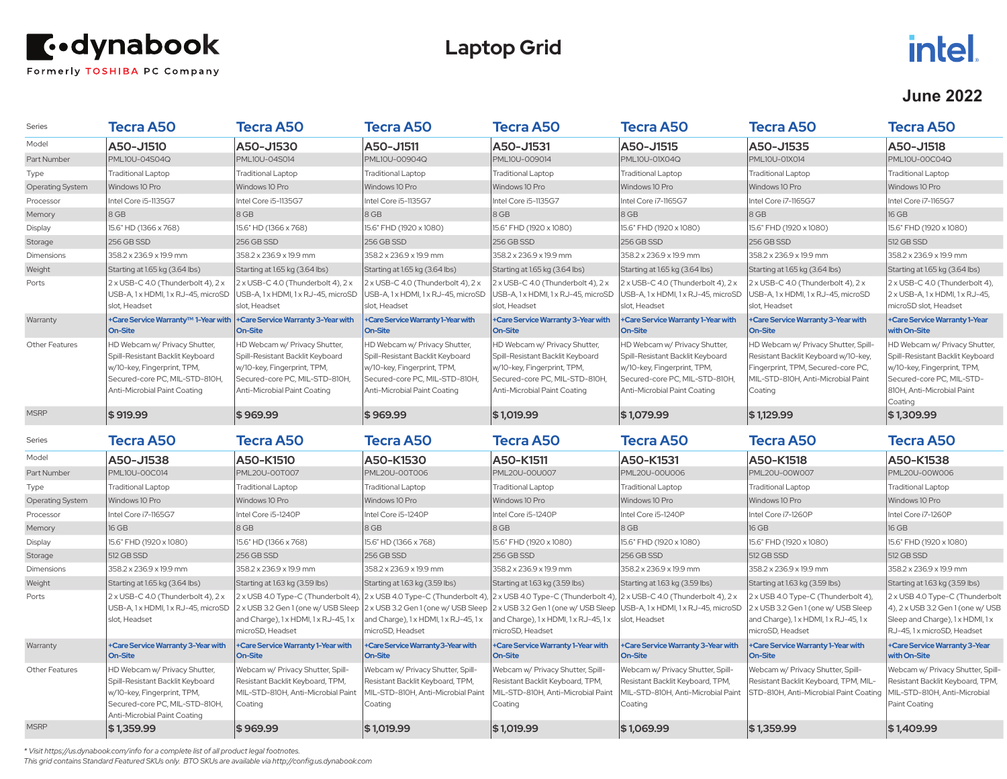

## **Laptop Grid**

# intel.

#### **June 2022**

| Series                        | Tecra A50                                                                                                                                                                        | <b>Tecra A50</b>                                                                                                                                                              | <b>Tecra A50</b>                                                                                                                                                                     | Tecra A50                                                                                                                                                                                                    | <b>Tecra A50</b>                                                                                                                                                                     | <b>Tecra A50</b>                                                                                                                                                                      | <b>Tecra A50</b>                                                                                                                                                            |
|-------------------------------|----------------------------------------------------------------------------------------------------------------------------------------------------------------------------------|-------------------------------------------------------------------------------------------------------------------------------------------------------------------------------|--------------------------------------------------------------------------------------------------------------------------------------------------------------------------------------|--------------------------------------------------------------------------------------------------------------------------------------------------------------------------------------------------------------|--------------------------------------------------------------------------------------------------------------------------------------------------------------------------------------|---------------------------------------------------------------------------------------------------------------------------------------------------------------------------------------|-----------------------------------------------------------------------------------------------------------------------------------------------------------------------------|
| Model                         | A50-J1510                                                                                                                                                                        | A50-J1530                                                                                                                                                                     | A50-J1511                                                                                                                                                                            | A50-J1531                                                                                                                                                                                                    | A50-J1515                                                                                                                                                                            | A50-J1535                                                                                                                                                                             | A50-J1518                                                                                                                                                                   |
| Part Number                   | PML10U-04S04Q                                                                                                                                                                    | PML10U-04S014                                                                                                                                                                 | PML10U-00904Q                                                                                                                                                                        | PML10U-009014                                                                                                                                                                                                | PML10U-01X04Q                                                                                                                                                                        | PML10U-01X014                                                                                                                                                                         | PML10U-00C04Q                                                                                                                                                               |
| Type                          | <b>Traditional Laptop</b>                                                                                                                                                        | <b>Traditional Laptop</b>                                                                                                                                                     | <b>Traditional Laptop</b>                                                                                                                                                            | <b>Traditional Laptop</b>                                                                                                                                                                                    | <b>Traditional Laptop</b>                                                                                                                                                            | <b>Traditional Laptop</b>                                                                                                                                                             | <b>Traditional Laptop</b>                                                                                                                                                   |
| <b>Operating System</b>       | Windows 10 Pro                                                                                                                                                                   | Windows 10 Pro                                                                                                                                                                | Windows 10 Pro                                                                                                                                                                       | Windows 10 Pro                                                                                                                                                                                               | Windows 10 Pro                                                                                                                                                                       | Windows 10 Pro                                                                                                                                                                        | Windows 10 Pro                                                                                                                                                              |
| Processor                     | Intel Core i5-1135G7                                                                                                                                                             | Intel Core i5-1135G7                                                                                                                                                          | Intel Core i5-1135G7                                                                                                                                                                 | Intel Core i5-1135G7                                                                                                                                                                                         | Intel Core i7-1165G7                                                                                                                                                                 | Intel Core i7-1165G7                                                                                                                                                                  | Intel Core i7-1165G7                                                                                                                                                        |
| Memory                        | 8 GB                                                                                                                                                                             | 8 GB                                                                                                                                                                          | 8 GB                                                                                                                                                                                 | 8 GB                                                                                                                                                                                                         | $8$ GB                                                                                                                                                                               | $8$ GB                                                                                                                                                                                | 16 GB                                                                                                                                                                       |
| Display                       | 15.6" HD (1366 x 768)                                                                                                                                                            | 15.6" HD (1366 x 768)                                                                                                                                                         | 15.6" FHD (1920 x 1080)                                                                                                                                                              | 15.6" FHD (1920 x 1080)                                                                                                                                                                                      | 15.6" FHD (1920 x 1080)                                                                                                                                                              | 15.6" FHD (1920 x 1080)                                                                                                                                                               | 15.6" FHD (1920 x 1080)                                                                                                                                                     |
| Storage                       | 256 GB SSD                                                                                                                                                                       | 256 GB SSD                                                                                                                                                                    | 256 GB SSD                                                                                                                                                                           | 256 GB SSD                                                                                                                                                                                                   | 256 GB SSD                                                                                                                                                                           | 256 GB SSD                                                                                                                                                                            | 512 GB SSD                                                                                                                                                                  |
| Dimensions                    | 358.2 x 236.9 x 19.9 mm                                                                                                                                                          | 358.2 x 236.9 x 19.9 mm                                                                                                                                                       | 358.2 x 236.9 x 19.9 mm                                                                                                                                                              | 358.2 x 236.9 x 19.9 mm                                                                                                                                                                                      | 358.2 x 236.9 x 19.9 mm                                                                                                                                                              | 358.2 x 236.9 x 19.9 mm                                                                                                                                                               | 358.2 x 236.9 x 19.9 mm                                                                                                                                                     |
| Weight                        | Starting at 1.65 kg (3.64 lbs)                                                                                                                                                   | Starting at 1.65 kg (3.64 lbs)                                                                                                                                                | Starting at 1.65 kg (3.64 lbs)                                                                                                                                                       | Starting at 1.65 kg (3.64 lbs)                                                                                                                                                                               | Starting at 1.65 kg (3.64 lbs)                                                                                                                                                       | Starting at 1.65 kg (3.64 lbs)                                                                                                                                                        | Starting at 1.65 kg (3.64 lbs)                                                                                                                                              |
| Ports                         | 2 x USB-C 4.0 (Thunderbolt 4), 2 x<br>USB-A, 1 x HDMI, 1 x RJ-45, microSD<br>slot, Headset                                                                                       | 2 x USB-C 4.0 (Thunderbolt 4), 2 x<br>USB-A, 1 x HDMI, 1 x RJ-45, microSD<br>slot, Headset                                                                                    | 2 x USB-C 4.0 (Thunderbolt 4), 2 x<br>USB-A, 1 x HDMI, 1 x RJ-45, microSD<br>slot, Headset                                                                                           | 2 x USB-C 4.0 (Thunderbolt 4), 2 x<br>USB-A, 1x HDMI, 1x RJ-45, microSD<br>slot, Headset                                                                                                                     | 2 x USB-C 4.0 (Thunderbolt 4), 2 x<br>USB-A, 1 x HDMI, 1 x RJ-45, microSD<br>slot, Headset                                                                                           | 2 x USB-C 4.0 (Thunderbolt 4), 2 x<br>USB-A, 1 x HDMI, 1 x RJ-45, microSD<br>slot, Headset                                                                                            | 2 x USB-C 4.0 (Thunderbolt 4),<br>2 x USB-A, 1 x HDMI, 1 x RJ-45,<br>microSD slot, Headset                                                                                  |
| Warranty                      | +Care Service Warranty <sup>™</sup> 1-Year with                                                                                                                                  | +Care Service Warranty 3-Year with                                                                                                                                            | +Care Service Warranty 1-Year with                                                                                                                                                   | +Care Service Warranty 3-Year with                                                                                                                                                                           | +Care Service Warranty 1-Year with                                                                                                                                                   | +Care Service Warranty 3-Year with                                                                                                                                                    | +Care Service Warranty 1-Year                                                                                                                                               |
| Other Features                | On-Site<br>HD Webcam w/ Privacy Shutter,<br>Spill-Resistant Backlit Keyboard<br>w/10-key, Fingerprint, TPM,<br>Secured-core PC, MIL-STD-810H<br>Anti-Microbial Paint Coating     | On-Site<br>HD Webcam w/ Privacy Shutter,<br>Spill-Resistant Backlit Keyboard<br>w/10-key, Fingerprint, TPM,<br>Secured-core PC, MIL-STD-810H,<br>Anti-Microbial Paint Coating | <b>On-Site</b><br>HD Webcam w/ Privacy Shutter,<br>Spill-Resistant Backlit Keyboard<br>w/10-key, Fingerprint, TPM,<br>Secured-core PC, MIL-STD-810H,<br>Anti-Microbial Paint Coating | <b>On-Site</b><br>HD Webcam w/ Privacy Shutter,<br>Spill-Resistant Backlit Keyboard<br>w/10-key, Fingerprint, TPM,<br>Secured-core PC, MIL-STD-810H,<br>Anti-Microbial Paint Coating                         | <b>On-Site</b><br>HD Webcam w/ Privacy Shutter,<br>Spill-Resistant Backlit Keyboard<br>w/10-key, Fingerprint, TPM,<br>Secured-core PC, MIL-STD-810H,<br>Anti-Microbial Paint Coating | <b>On-Site</b><br>HD Webcam w/ Privacy Shutter, Spill-<br>Resistant Backlit Keyboard w/10-key,<br>Fingerprint, TPM, Secured-core PC,<br>MIL-STD-810H. Anti-Microbial Paint<br>Coating | with On-Site<br>HD Webcam w/ Privacy Shutter,<br>Spill-Resistant Backlit Keyboard<br>w/10-key, Fingerprint, TPM,<br>Secured-core PC. MIL-STD-<br>810H. Anti-Microbial Paint |
| <b>MSRP</b>                   | \$919.99                                                                                                                                                                         | \$969.99                                                                                                                                                                      | \$969.99                                                                                                                                                                             | \$1,019.99                                                                                                                                                                                                   | \$1,079.99                                                                                                                                                                           | \$1,129.99                                                                                                                                                                            | Coating<br>\$1,309.99                                                                                                                                                       |
| Series                        | <b>Tecra A50</b>                                                                                                                                                                 | Tecra A50                                                                                                                                                                     | Tecra A50                                                                                                                                                                            | <b>Tecra A50</b>                                                                                                                                                                                             | Tecra A50                                                                                                                                                                            | <b>Tecra A50</b>                                                                                                                                                                      | Tecra A50                                                                                                                                                                   |
| Model                         | A50-J1538                                                                                                                                                                        | A50-K1510                                                                                                                                                                     | A50-K1530                                                                                                                                                                            | A50-K1511                                                                                                                                                                                                    | A50-K1531                                                                                                                                                                            | A50-K1518                                                                                                                                                                             | A50-K1538                                                                                                                                                                   |
| Part Number                   | PML10U-00C014                                                                                                                                                                    | PML20U-00T007                                                                                                                                                                 | PML20U-00T006                                                                                                                                                                        | PML20U-00U007                                                                                                                                                                                                | PML20U-00U006                                                                                                                                                                        | <b>PML20U-00W007</b>                                                                                                                                                                  | PML20U-00W006                                                                                                                                                               |
| Type                          | <b>Traditional Laptop</b>                                                                                                                                                        | <b>Traditional Laptop</b>                                                                                                                                                     | <b>Traditional Laptop</b>                                                                                                                                                            | <b>Traditional Laptop</b>                                                                                                                                                                                    | <b>Traditional Laptop</b>                                                                                                                                                            | <b>Traditional Laptop</b>                                                                                                                                                             | <b>Traditional Laptop</b>                                                                                                                                                   |
| <b>Operating System</b>       | Windows 10 Pro                                                                                                                                                                   | Windows 10 Pro                                                                                                                                                                | Windows 10 Pro                                                                                                                                                                       | Windows 10 Pro                                                                                                                                                                                               | Windows 10 Pro                                                                                                                                                                       | Windows 10 Pro                                                                                                                                                                        | Windows 10 Pro                                                                                                                                                              |
| Processor                     | Intel Core i7-1165G7                                                                                                                                                             | Intel Core i5-1240P                                                                                                                                                           | Intel Core i5-1240P                                                                                                                                                                  | Intel Core i5-1240P                                                                                                                                                                                          | Intel Core i5-1240P                                                                                                                                                                  | Intel Core i7-1260P                                                                                                                                                                   | Intel Core i7-1260P                                                                                                                                                         |
| Memory                        | 16 GB                                                                                                                                                                            | 8 GB                                                                                                                                                                          | 8 GB                                                                                                                                                                                 | 8 GB                                                                                                                                                                                                         | 8 GB                                                                                                                                                                                 | 16 GB                                                                                                                                                                                 | 16 GB                                                                                                                                                                       |
| Display                       | 15.6" FHD (1920 x 1080)                                                                                                                                                          | 15.6" HD (1366 x 768)                                                                                                                                                         | 15.6" HD (1366 x 768)                                                                                                                                                                | 15.6" FHD (1920 x 1080)                                                                                                                                                                                      | 15.6" FHD (1920 x 1080)                                                                                                                                                              | 15.6" FHD (1920 x 1080)                                                                                                                                                               | 15.6" FHD (1920 x 1080)                                                                                                                                                     |
| Storage                       | 512 GB SSD                                                                                                                                                                       | 256 GB SSD                                                                                                                                                                    | 256 GB SSD                                                                                                                                                                           | 256 GB SSD                                                                                                                                                                                                   | 256 GB SSD                                                                                                                                                                           | 512 GB SSD                                                                                                                                                                            | 512 GB SSD                                                                                                                                                                  |
| Dimensions                    | 358.2 x 236.9 x 19.9 mm                                                                                                                                                          | 358.2 x 236.9 x 19.9 mm                                                                                                                                                       | 358.2 x 236.9 x 19.9 mm                                                                                                                                                              | 358.2 x 236.9 x 19.9 mm                                                                                                                                                                                      | 358.2 x 236.9 x 19.9 mm                                                                                                                                                              | 358.2 x 236.9 x 19.9 mm                                                                                                                                                               | 358.2 x 236.9 x 19.9 mm                                                                                                                                                     |
| Weight                        | Starting at 1.65 kg (3.64 lbs)                                                                                                                                                   | Starting at 1.63 kg (3.59 lbs)                                                                                                                                                | Starting at 1.63 kg (3.59 lbs)                                                                                                                                                       | Starting at 1.63 kg (3.59 lbs)                                                                                                                                                                               | Starting at 1.63 kg (3.59 lbs)                                                                                                                                                       | Starting at 1.63 kg (3.59 lbs)                                                                                                                                                        | Starting at 1.63 kg (3.59 lbs)                                                                                                                                              |
| Ports                         | 2 x USB-C 4.0 (Thunderbolt 4), 2 x<br>USB-A, 1 x HDMI, 1 x RJ-45, microSD<br>slot, Headset                                                                                       | 2 x USB 4.0 Type-C (Thunderbolt 4),<br>2 x USB 3.2 Gen 1 (one w/ USB Sleep<br>and Charge), 1x HDMI, 1x RJ-45, 1x<br>microSD, Headset                                          | and Charge), 1x HDMI, 1x RJ-45, 1x<br>microSD, Headset                                                                                                                               | 2 x USB 4.0 Type-C (Thunderbolt 4), 2 x USB 4.0 Type-C (Thunderbolt 4),<br>2 x USB 3.2 Gen 1 (one w/ USB Sleep 2 x USB 3.2 Gen 1 (one w/ USB Sleep<br>and Charge), 1x HDMI, 1x RJ-45, 1x<br>microSD, Headset | $2 \times$ USB-C 4.0 (Thunderbolt 4), $2 \times$<br>USB-A, 1 x HDMI, 1 x RJ-45, microSD<br>slot. Headset                                                                             | 2 x USB 4.0 Type-C (Thunderbolt 4),<br>2 x USB 3.2 Gen 1 (one w/ USB Sleep<br>and Charge), 1x HDMI, 1x RJ-45, 1x<br>microSD, Headset                                                  | 2 x USB 4.0 Type-C (Thunderbolt<br>4), 2 x USB 3.2 Gen 1 (one w/ USB<br>Sleep and Charge), 1x HDMI, 1x<br>RJ-45, 1 x microSD, Headset                                       |
| Warranty                      | +Care Service Warranty 3-Year with<br>On-Site                                                                                                                                    | +Care Service Warranty 1-Year with<br><b>On-Site</b>                                                                                                                          | +Care Service Warranty 3-Year with<br><b>On-Site</b>                                                                                                                                 | +Care Service Warranty 1-Year with<br><b>On-Site</b>                                                                                                                                                         | +Care Service Warranty 3-Year with<br><b>On-Site</b>                                                                                                                                 | +Care Service Warranty 1-Year with<br>On-Site                                                                                                                                         | +Care Service Warranty 3-Year<br>with On-Site                                                                                                                               |
|                               |                                                                                                                                                                                  |                                                                                                                                                                               |                                                                                                                                                                                      |                                                                                                                                                                                                              |                                                                                                                                                                                      |                                                                                                                                                                                       |                                                                                                                                                                             |
| Other Features<br><b>MSRP</b> | HD Webcam w/ Privacy Shutter,<br>Spill-Resistant Backlit Keyboard<br>w/10-key, Fingerprint, TPM,<br>Secured-core PC, MIL-STD-810H,<br>Anti-Microbial Paint Coating<br>\$1,359.99 | Webcam w/ Privacy Shutter, Spill-<br>Resistant Backlit Keyboard, TPM,<br>MIL-STD-810H, Anti-Microbial Paint<br>Coating<br>\$969.99                                            | Webcam w/ Privacy Shutter, Spill-<br>Resistant Backlit Keyboard, TPM,<br>MIL-STD-810H, Anti-Microbial Paint<br>Coating<br>\$1,019.99                                                 | Webcam w/ Privacy Shutter, Spill-<br>Resistant Backlit Keyboard, TPM,<br>MIL-STD-810H, Anti-Microbial Paint<br>Coating<br>\$1,019.99                                                                         | Webcam w/ Privacy Shutter, Spill-<br>Resistant Backlit Keyboard, TPM,<br>MIL-STD-810H. Anti-Microbial Paint<br>Coating<br>\$1,069.99                                                 | Webcam w/ Privacy Shutter, Spill-<br>Resistant Backlit Keyboard, TPM, MIL-<br>STD-810H. Anti-Microbial Paint Coating<br>\$1,359.99                                                    | Webcam w/ Privacy Shutter, Spill-<br>Resistant Backlit Keyboard, TPM,<br>MIL-STD-810H, Anti-Microbial<br>Paint Coating<br>\$1,409.99                                        |

*\* Visit https://us.dynabook.com/info for a complete list of all product legal footnotes.* 

*This grid contains Standard Featured SKUs only. BTO SKUs are available via http://config.us.dynabook.com*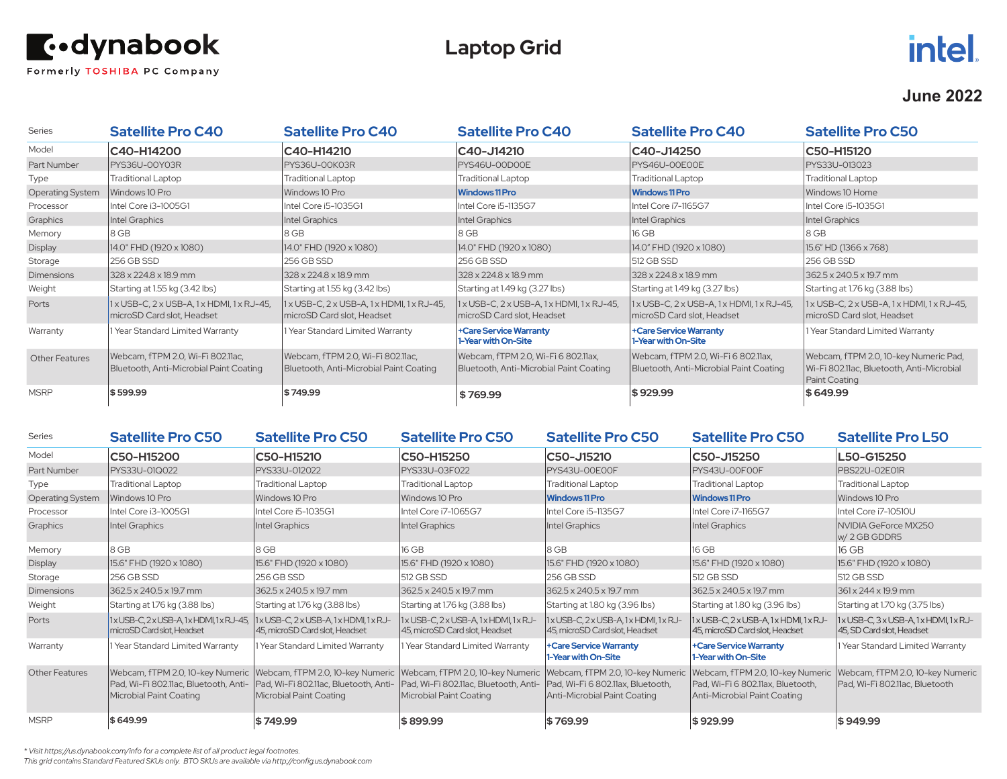

## **Laptop Grid**

## intel.

#### **June 2022**

| <b>Series</b>           | <b>Satellite Pro C40</b>                                                     | <b>Satellite Pro C40</b>                                                     | <b>Satellite Pro C40</b>                                                       | <b>Satellite Pro C40</b>                                                       | <b>Satellite Pro C50</b>                                                                            |
|-------------------------|------------------------------------------------------------------------------|------------------------------------------------------------------------------|--------------------------------------------------------------------------------|--------------------------------------------------------------------------------|-----------------------------------------------------------------------------------------------------|
| Model                   | C40-H14200                                                                   | C40-H14210                                                                   | C40-J14210                                                                     | C40-J14250                                                                     | C50-H15120                                                                                          |
| Part Number             | PYS36U-00Y03R                                                                | PYS36U-00K03R                                                                | PYS46U-00D00E                                                                  | PYS46U-OOEOOE                                                                  | PYS33U-013023                                                                                       |
| Type                    | <b>Traditional Laptop</b>                                                    | <b>Traditional Laptop</b>                                                    | Traditional Laptop                                                             | <b>Traditional Laptop</b>                                                      | <b>Traditional Laptop</b>                                                                           |
| <b>Operating System</b> | Windows 10 Pro                                                               | Windows 10 Pro                                                               | <b>Windows 11 Pro</b>                                                          | <b>Windows 11 Pro</b>                                                          | Windows 10 Home                                                                                     |
| Processor               | Intel Core i3-1005G1                                                         | Intel Core i5-1035G1                                                         | Intel Core i5-1135G7                                                           | Intel Core i7-1165G7                                                           | Intel Core i5-1035G1                                                                                |
| Graphics                | Intel Graphics                                                               | Intel Graphics                                                               | Intel Graphics                                                                 | Intel Graphics                                                                 | Intel Graphics                                                                                      |
| Memory                  | 8 GB                                                                         | 18 GB                                                                        | 8 GB                                                                           | 16 GB                                                                          | 8 GB                                                                                                |
| <b>Display</b>          | 14.0" FHD (1920 x 1080)                                                      | 14.0" FHD (1920 x 1080)                                                      | 14.0" FHD (1920 x 1080)                                                        | 14.0" FHD (1920 x 1080)                                                        | 15.6" HD (1366 x 768)                                                                               |
| Storage                 | 256 GB SSD                                                                   | 256 GB SSD                                                                   | 256 GB SSD                                                                     | 512 GB SSD                                                                     | 256 GB SSD                                                                                          |
| <b>Dimensions</b>       | 328 x 224.8 x 18.9 mm                                                        | 328 x 224.8 x 18.9 mm                                                        | 328 x 224.8 x 18.9 mm                                                          | 328 x 224.8 x 18.9 mm                                                          | 362.5 x 240.5 x 19.7 mm                                                                             |
| Weight                  | Starting at 1.55 kg (3.42 lbs)                                               | Starting at 1.55 kg (3.42 lbs)                                               | Starting at 1.49 kg (3.27 lbs)                                                 | Starting at 1.49 kg (3.27 lbs)                                                 | Starting at 1.76 kg (3.88 lbs)                                                                      |
| Ports                   | 1 x USB-C, 2 x USB-A, 1 x HDMI, 1 x RJ-45,<br>microSD Card slot, Headset     | $1x$ USB-C, $2x$ USB-A, $1x$ HDMI, $1x$ RJ-45,<br>microSD Card slot, Headset | 1 x USB-C, 2 x USB-A, 1 x HDMI, 1 x RJ-45,<br>microSD Card slot, Headset       | 1 x USB-C, 2 x USB-A, 1 x HDMI, 1 x RJ-45,<br>microSD Card slot, Headset       | 1 x USB-C, 2 x USB-A, 1 x HDMI, 1 x RJ-45,<br>microSD Card slot, Headset                            |
| Warranty                | 1 Year Standard Limited Warranty                                             | 1 Year Standard Limited Warranty                                             | +Care Service Warranty<br>1-Year with On-Site                                  | +Care Service Warranty<br>1-Year with On-Site                                  | 1 Year Standard Limited Warranty                                                                    |
| <b>Other Features</b>   | Webcam, fTPM 2.0, Wi-Fi 802.11ac,<br>Bluetooth, Anti-Microbial Paint Coating | Webcam, fTPM 2.0, Wi-Fi 802.11ac,<br>Bluetooth, Anti-Microbial Paint Coating | Webcam, fTPM 2.0, Wi-Fi 6 802.11ax,<br>Bluetooth, Anti-Microbial Paint Coating | Webcam, fTPM 2.0, Wi-Fi 6 802.11ax,<br>Bluetooth, Anti-Microbial Paint Coating | Webcam, fTPM 2.0, 10-key Numeric Pad,<br>Wi-Fi 802.11ac, Bluetooth, Anti-Microbial<br>Paint Coating |
| <b>MSRP</b>             | \$599.99                                                                     | \$749.99                                                                     | \$769.99                                                                       | \$929.99                                                                       | \$649.99                                                                                            |

| Series                  | <b>Satellite Pro C50</b>                                                                         | <b>Satellite Pro C50</b>                                                                                                                                                         | <b>Satellite Pro C50</b>                                                                             | <b>Satellite Pro C50</b>                                              | <b>Satellite Pro C50</b>                                                                                                                 | <b>Satellite Pro L50</b>                                                 |
|-------------------------|--------------------------------------------------------------------------------------------------|----------------------------------------------------------------------------------------------------------------------------------------------------------------------------------|------------------------------------------------------------------------------------------------------|-----------------------------------------------------------------------|------------------------------------------------------------------------------------------------------------------------------------------|--------------------------------------------------------------------------|
| Model                   | C50-H15200                                                                                       | C50-H15210                                                                                                                                                                       | C50-H15250                                                                                           | C50-J15210                                                            | C50-J15250                                                                                                                               | L50-G15250                                                               |
| Part Number             | PYS33U-01Q022                                                                                    | PYS33U-012022                                                                                                                                                                    | PYS33U-03F022                                                                                        | PYS43U-00E00F                                                         | IPYS43U-00F00F                                                                                                                           | PBS22U-02E01R                                                            |
| Type                    | <b>Traditional Laptop</b>                                                                        | <b>Traditional Laptop</b>                                                                                                                                                        | <b>Traditional Laptop</b>                                                                            | <b>Traditional Laptop</b>                                             | <b>Traditional Laptop</b>                                                                                                                | <b>Traditional Laptop</b>                                                |
| <b>Operating System</b> | Windows 10 Pro                                                                                   | Windows 10 Pro                                                                                                                                                                   | Windows 10 Pro                                                                                       | <b>Windows 11 Pro</b>                                                 | <b>Windows 11 Pro</b>                                                                                                                    | Windows 10 Pro                                                           |
| Processor               | Intel Core i3-1005G1                                                                             | Intel Core i5-1035G1                                                                                                                                                             | Intel Core i7-1065G7                                                                                 | Intel Core i5-1135G7                                                  | Intel Core i7-1165G7                                                                                                                     | Intel Core i7-10510U                                                     |
| Graphics                | Intel Graphics                                                                                   | Intel Graphics                                                                                                                                                                   | Intel Graphics                                                                                       | Intel Graphics                                                        | Intel Graphics                                                                                                                           | NVIDIA GeForce MX250<br>$w/2$ GB GDDR5                                   |
| Memory                  | 8 GB                                                                                             | 8 GB                                                                                                                                                                             | 16 GB                                                                                                | 8 GB                                                                  | 16 GB                                                                                                                                    | 16 GB                                                                    |
| Display                 | 15.6" FHD (1920 x 1080)                                                                          | 15.6" FHD (1920 x 1080)                                                                                                                                                          | 15.6" FHD (1920 x 1080)                                                                              | 15.6" FHD (1920 x 1080)                                               | 15.6" FHD (1920 x 1080)                                                                                                                  | 15.6" FHD (1920 x 1080)                                                  |
| Storage                 | 256 GB SSD                                                                                       | 256 GB SSD                                                                                                                                                                       | 512 GB SSD                                                                                           | 256 GB SSD                                                            | 512 GB SSD                                                                                                                               | 512 GB SSD                                                               |
| <b>Dimensions</b>       | $1362.5 \times 240.5 \times 19.7$ mm                                                             | 362.5 x 240.5 x 19.7 mm                                                                                                                                                          | 362.5 x 240.5 x 19.7 mm                                                                              | 362.5 x 240.5 x 19.7 mm                                               | 362.5 x 240.5 x 19.7 mm                                                                                                                  | $361 \times 244 \times 19.9$ mm                                          |
| Weight                  | Starting at 1.76 kg (3.88 lbs)                                                                   | Starting at 1.76 kg (3.88 lbs)                                                                                                                                                   | Starting at 1.76 kg (3.88 lbs)                                                                       | Starting at 1.80 kg (3.96 lbs)                                        | Starting at 1.80 kg (3.96 lbs)                                                                                                           | Starting at 1.70 kg (3.75 lbs)                                           |
| Ports                   | 1xUSB-C, 2xUSB-A, 1xHDMI, 1xRJ-45, 1xUSB-C, 2xUSB-A, 1xHDMI, 1xRJ-<br>microSD Card slot. Headset | 45, microSD Card slot, Headset                                                                                                                                                   | 1x USB-C, 2x USB-A, 1x HDMI, 1x RJ-<br>45, microSD Card slot, Headset                                | 1x USB-C, 2x USB-A, 1x HDMI, 1x RJ-<br>45, microSD Card slot, Headset | $1x$ USB-C, $2x$ USB-A, $1x$ HDMI, $1x$ RJ-<br>45, microSD Card slot, Headset                                                            | $1x$ USB-C, $3x$ USB-A, $1x$ HDMI, $1x$ RJ-<br>45, SD Card slot, Headset |
| Warranty                | 1 Year Standard Limited Warranty                                                                 | 1 Year Standard Limited Warranty                                                                                                                                                 | 1 Year Standard Limited Warranty                                                                     | +Care Service Warranty<br>1-Year with On-Site                         | +Care Service Warranty<br>1-Year with On-Site                                                                                            | 1 Year Standard Limited Warranty                                         |
| <b>Other Features</b>   | Microbial Paint Coating                                                                          | Webcam, fTPM 2.0, 10-key Numeric   Webcam, fTPM 2.0, 10-key Numeric<br> Pad, Wi-Fi 802.11ac, Bluetooth, Anti-   Pad, Wi-Fi 802.11ac, Bluetooth, Anti-<br>Microbial Paint Coating | Webcam, fTPM 2.0, 10-key Numeric<br>Pad, Wi-Fi 802.11ac, Bluetooth, Anti-<br>Microbial Paint Coating | Pad, Wi-Fi 6 802.11ax, Bluetooth,<br>Anti-Microbial Paint Coating     | Webcam, fTPM 2.0, 10-key Numeric   Webcam, fTPM 2.0, 10-key Numeric<br>Pad, Wi-Fi 6 802.11ax, Bluetooth,<br>Anti-Microbial Paint Coating | Webcam, fTPM 2.0, 10-key Numeric<br>Pad, Wi-Fi 802.11ac, Bluetooth       |
| <b>MSRP</b>             | \$649.99                                                                                         | \$749.99                                                                                                                                                                         | \$899.99                                                                                             | \$769.99                                                              | \$929.99                                                                                                                                 | \$949.99                                                                 |

*\* Visit https://us.dynabook.com/info for a complete list of all product legal footnotes.* 

*This grid contains Standard Featured SKUs only. BTO SKUs are available via http://config.us.dynabook.com*